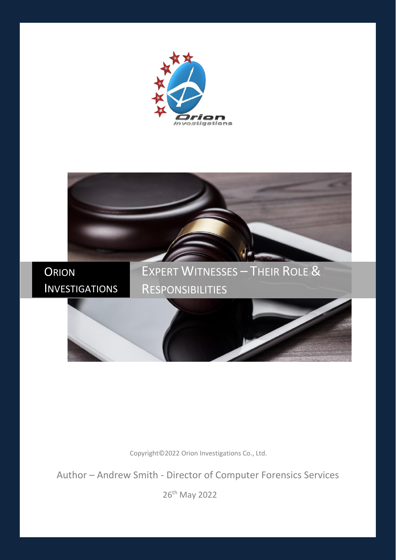



Copyright©2022 Orion Investigations Co., Ltd.

Author - Andrew Smith - Director of Computer Forensics Services

26<sup>th</sup> May 2022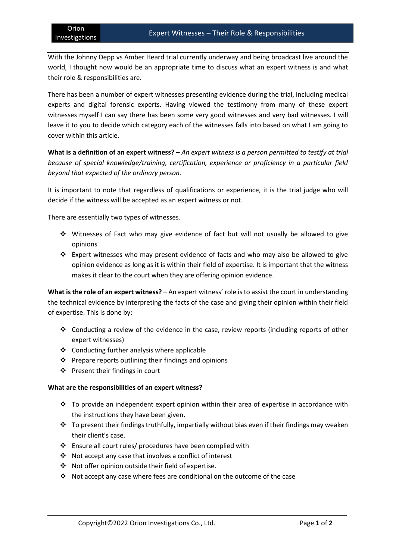With the Johnny Depp vs Amber Heard trial currently underway and being broadcast live around the world, I thought now would be an appropriate time to discuss what an expert witness is and what their role & responsibilities are.

There has been a number of expert witnesses presenting evidence during the trial, including medical experts and digital forensic experts. Having viewed the testimony from many of these expert witnesses myself I can say there has been some very good witnesses and very bad witnesses. I will leave it to you to decide which category each of the witnesses falls into based on what I am going to cover within this article.

**What is a definition of an expert witness?** – *An expert witness is a person permitted to testify at trial because of special knowledge/training, certification, experience or proficiency in a particular field beyond that expected of the ordinary person.*

It is important to note that regardless of qualifications or experience, it is the trial judge who will decide if the witness will be accepted as an expert witness or not.

There are essentially two types of witnesses.

- $\div$  Witnesses of Fact who may give evidence of fact but will not usually be allowed to give opinions
- Expert witnesses who may present evidence of facts and who may also be allowed to give opinion evidence as long as it is within their field of expertise. It is important that the witness makes it clear to the court when they are offering opinion evidence.

**What is the role of an expert witness?** – An expert witness' role isto assist the court in understanding the technical evidence by interpreting the facts of the case and giving their opinion within their field of expertise. This is done by:

- ❖ Conducting a review of the evidence in the case, review reports (including reports of other expert witnesses)
- ❖ Conducting further analysis where applicable
- $\cdot \cdot$  Prepare reports outlining their findings and opinions
- Present their findings in court

## **What are the responsibilities of an expert witness?**

- \* To provide an independent expert opinion within their area of expertise in accordance with the instructions they have been given.
- \* To present their findings truthfully, impartially without bias even if their findings may weaken their client's case.
- Ensure all court rules/ procedures have been complied with
- Not accept any case that involves a conflict of interest
- ◆ Not offer opinion outside their field of expertise.
- Not accept any case where fees are conditional on the outcome of the case